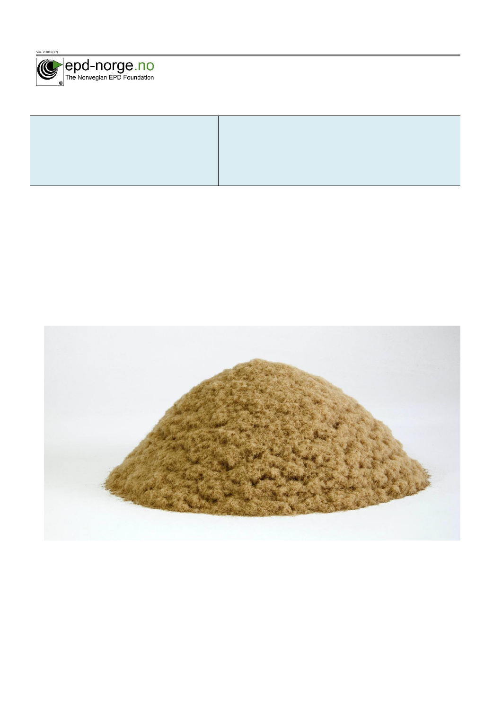

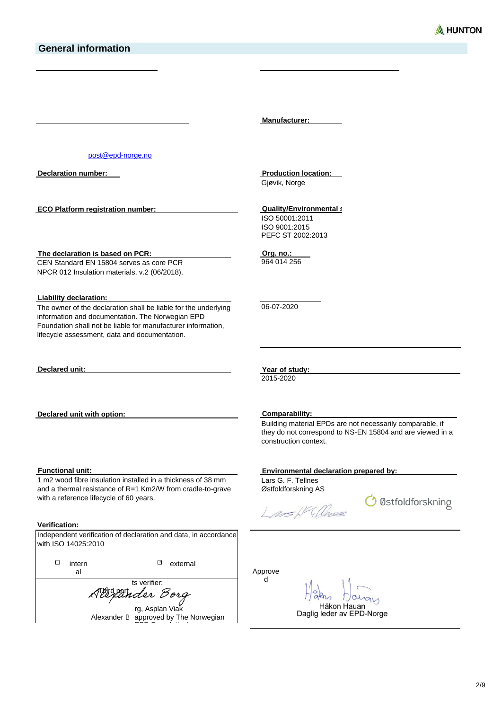**Manufacturer:**

[post@epd-norge.no](mailto:post@epd-norge.no)

**Declaration number:**

**ECO Platform registration number:**

**The declaration is based on PCR:** CEN Standard EN 15804 serves as core PCR NPCR 012 Insulation materials, v.2 (06/2018).

**Liability declaration:**

The owner of the declaration shall be liable for the underlying information and documentation. The Norwegian EPD Foundation shall not be liable for manufacturer information, lifecycle assessment, data and documentation.

**Declared unit:**

**Declared unit with option:**

#### **Functional unit:**

1 m2 wood fibre insulation installed in a thickness of 38 mm and a thermal resistance of R=1 Km2/W from cradle-to-grave with a reference lifecycle of 60 years.

#### **Verification:**

| with ISO 14025:2010 |                 |                                                                                                                          |  |
|---------------------|-----------------|--------------------------------------------------------------------------------------------------------------------------|--|
| intern<br>al        | ⊡               | external                                                                                                                 |  |
|                     |                 |                                                                                                                          |  |
| Allexander Borg     |                 |                                                                                                                          |  |
|                     | rg, Asplan Viak |                                                                                                                          |  |
|                     |                 | Independent verification of declaration and data, in accordance<br>ts verifier:<br>Alexander B approved by The Norwegian |  |

**Production location:** Gjøvik, Norge

**Quality/Environmental s** 

ISO 50001:2011 ISO 9001:2015 PEFC ST 2002:2013

**Org. no.:** 964 014 256

06-07-2020

**Year of study:**

2015-2020

**Comparability:**

Building material EPDs are not necessarily comparable, if they do not correspond to NS-EN 15804 and are viewed in a construction context.

#### **Environmental declaration prepared by:**

Lars G. F. Tellnes Østfoldforskning AS

Lass NW Cleves

O Østfoldforskning

Approve d

allon

Håkon Hauan Daglig leder av EPD-Norge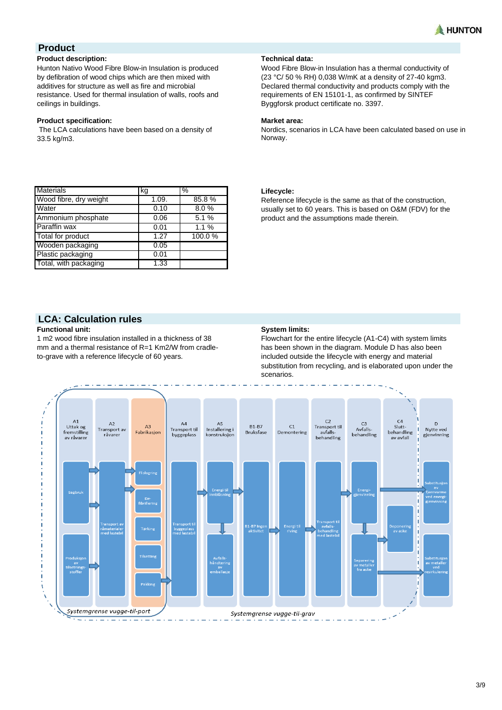

# **Product**

### **Product description:**

Hunton Nativo Wood Fibre Blow-in Insulation is produced by defibration of wood chips which are then mixed with additives for structure as well as fire and microbial resistance. Used for thermal insulation of walls, roofs and ceilings in buildings.

#### **Product specification: Market area:**

The LCA calculations have been based on a density of 33.5 kg/m3.

#### **Technical data:**

Wood Fibre Blow-in Insulation has a thermal conductivity of (23 °C/ 50 % RH) 0,038 W/mK at a density of 27-40 kgm3. Declared thermal conductivity and products comply with the requirements of EN 15101-1, as confirmed by SINTEF Byggforsk product certificate no. 3397.

Nordics, scenarios in LCA have been calculated based on use in Norway.

| <b>Materials</b>       | kg    | %      |
|------------------------|-------|--------|
|                        |       |        |
| Wood fibre, dry weight | 1.09. | 85.8%  |
| <b>Water</b>           | 0.10  | 8.0%   |
| Ammonium phosphate     | 0.06  | 5.1%   |
| Paraffin wax           | 0.01  | 1.1%   |
| Total for product      | 1.27  | 100.0% |
| Wooden packaging       | 0.05  |        |
| Plastic packaging      | 0.01  |        |
| Total, with packaging  | 1.33  |        |

### **Lifecycle:**

Reference lifecycle is the same as that of the construction, usually set to 60 years. This is based on O&M (FDV) for the product and the assumptions made therein.

# **LCA: Calculation rules**

1 m2 wood fibre insulation installed in a thickness of 38 mm and a thermal resistance of R=1 Km2/W from cradleto-grave with a reference lifecycle of 60 years.

### **System limits:**

Flowchart for the entire lifecycle (A1-C4) with system limits has been shown in the diagram. Module D has also been included outside the lifecycle with energy and material substitution from recycling, and is elaborated upon under the scenarios.

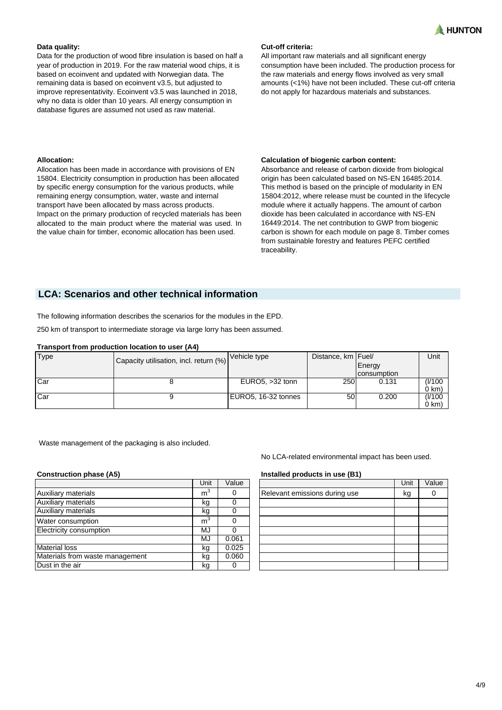

Data for the production of wood fibre insulation is based on half a year of production in 2019. For the raw material wood chips, it is based on ecoinvent and updated with Norwegian data. The remaining data is based on ecoinvent v3.5, but adjusted to improve representativity. Ecoinvent v3.5 was launched in 2018, why no data is older than 10 years. All energy consumption in database figures are assumed not used as raw material.

Allocation has been made in accordance with provisions of EN 15804. Electricity consumption in production has been allocated by specific energy consumption for the various products, while remaining energy consumption, water, waste and internal transport have been allocated by mass across products. Impact on the primary production of recycled materials has been allocated to the main product where the material was used. In the value chain for timber, economic allocation has been used.

#### **Data quality: Cut-off criteria:**

All important raw materials and all significant energy consumption have been included. The production process for the raw materials and energy flows involved as very small amounts (<1%) have not been included. These cut-off criteria do not apply for hazardous materials and substances.

#### **Allocation: Calculation of biogenic carbon content:**

Absorbance and release of carbon dioxide from biological origin has been calculated based on NS-EN 16485:2014. This method is based on the principle of modularity in EN 15804:2012, where release must be counted in the lifecycle module where it actually happens. The amount of carbon dioxide has been calculated in accordance with NS-EN 16449:2014. The net contribution to GWP from biogenic carbon is shown for each module on page 8. Timber comes from sustainable forestry and features PEFC certified traceability.

# **LCA: Scenarios and other technical information**

The following information describes the scenarios for the modules in the EPD.

250 km of transport to intermediate storage via large lorry has been assumed.

#### **Transport from production location to user (A4)**

| Type | Capacity utilisation, incl. return (%) | Vehicle type        | Distance, km   Fuel/ |             | Unit    |
|------|----------------------------------------|---------------------|----------------------|-------------|---------|
|      |                                        |                     |                      | Energy      |         |
|      |                                        |                     |                      | consumption |         |
| Car  |                                        | EURO5, $>32$ tonn   | 250                  | 0.131       | (1/100) |
|      |                                        |                     |                      |             | 0 km)   |
| Car  |                                        | EURO5, 16-32 tonnes | 50I                  | 0.200       | (I/100  |
|      |                                        |                     |                      |             | 0 km)   |

Waste management of the packaging is also included.

|                                 | Unit           | Value |
|---------------------------------|----------------|-------|
| Auxiliary materials             | m <sup>3</sup> |       |
| Auxiliary materials             | kg             |       |
| <b>Auxiliary materials</b>      | kg             |       |
| Water consumption               | m <sup>3</sup> |       |
| Electricity consumption         | MJ             |       |
|                                 | MJ             | 0.061 |
| <b>Material loss</b>            | kg             | 0.025 |
| Materials from waste management | kg             | 0.060 |
| Dust in the air                 | kg             |       |

No LCA-related environmental impact has been used.

#### **Construction phase (A5) Installed products in use (B1)**

|                               | Unit | Value |
|-------------------------------|------|-------|
| Relevant emissions during use | kg   |       |
|                               |      |       |
|                               |      |       |
|                               |      |       |
|                               |      |       |
|                               |      |       |
|                               |      |       |
|                               |      |       |
|                               |      |       |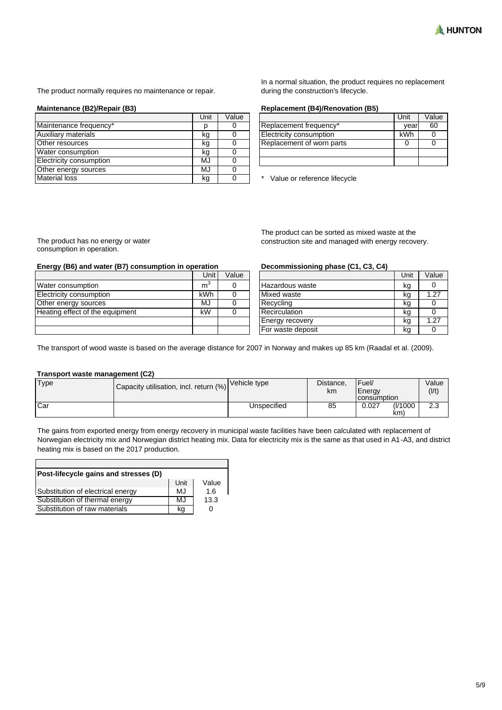

The product normally requires no maintenance or repair.

|                            | Unit | Value |
|----------------------------|------|-------|
| Maintenance frequency*     |      |       |
| <b>Auxiliary materials</b> | kg   |       |
| Other resources            | kq   |       |
| Water consumption          | kq   |       |
| Electricity consumption    | MJ   |       |
| Other energy sources       | MJ   |       |
| <b>Material loss</b>       | kq   |       |

In a normal situation, the product requires no replacement during the construction's lifecycle.

#### **Maintenance (B2)/Repair (B3) Replacement (B4)/Renovation (B5)**

|                                | Unit | Value |
|--------------------------------|------|-------|
| Replacement frequency*         | vear | 60    |
| <b>Electricity consumption</b> | kWh  |       |
| Replacement of worn parts      |      |       |
|                                |      |       |
|                                |      |       |

\* Value or reference lifecycle

The product has no energy or water consumption in operation.

#### **Energy (B6) and water (B7) consumption in operation Decommissioning phase (C1, C3, C4)**

|                                 | Unit           | Value |
|---------------------------------|----------------|-------|
| Water consumption               | m <sup>3</sup> |       |
| <b>Electricity consumption</b>  | kWh            |       |
| Other energy sources            | MJ             |       |
| Heating effect of the equipment | kW             |       |
|                                 |                |       |
|                                 |                |       |

The product can be sorted as mixed waste at the construction site and managed with energy recovery.

|                        | Unit | Value |
|------------------------|------|-------|
| Hazardous waste        | kg   |       |
| Mixed waste            | kg   | 1.27  |
| Recycling              | kq   |       |
| Recirculation          | kg   |       |
| <b>Energy recovery</b> | kq   | 1.27  |
| For waste deposit      | ka   |       |

The transport of wood waste is based on the average distance for 2007 in Norway and makes up 85 km (Raadal et al. (2009).

#### **Transport waste management (C2)**

| <b>Type</b> | $ \textsf{Capacity}$ utilisation, incl. return $\ket{\%}\big \textsf{Vehicle type}$ |             | Distance,<br>km | IFuel/<br>Energy<br><b>Consumption</b> | Value<br>(1/t) |
|-------------|-------------------------------------------------------------------------------------|-------------|-----------------|----------------------------------------|----------------|
| Car         |                                                                                     | Unspecified | 85              | (1/1000)<br>0.027<br>km                | ົດລ<br>د.∠     |

The gains from exported energy from energy recovery in municipal waste facilities have been calculated with replacement of Norwegian electricity mix and Norwegian district heating mix. Data for electricity mix is the same as that used in A1-A3, and district heating mix is based on the 2017 production.

| Post-lifecycle gains and stresses (D) |      |       |
|---------------------------------------|------|-------|
|                                       | Unit | Value |
| Substitution of electrical energy     | MJ   | 1.6   |
| Substitution of thermal energy        | MJ   | 13.3  |
| Substitution of raw materials         | ka   | O     |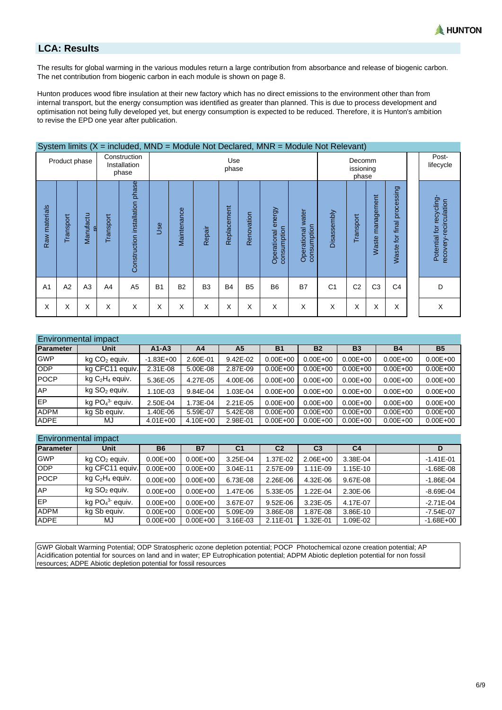

# **LCA: Results**

The results for global warming in the various modules return a large contribution from absorbance and release of biogenic carbon. The net contribution from biogenic carbon in each module is shown on page 8.

Hunton produces wood fibre insulation at their new factory which has no direct emissions to the environment other than from internal transport, but the energy consumption was identified as greater than planned. This is due to process development and optimisation not being fully developed yet, but energy consumption is expected to be reduced. Therefore, it is Hunton's ambition to revise the EPD one year after publication.

|                |                |                |           | System limits $(X = \text{included}, \text{MND} = \text{Module Not Declared}, \text{MNR} = \text{Module Not Relevant}$ |           |              |                |             |                |                                      |                                     |                              |                |                  |                                      |                                                    |
|----------------|----------------|----------------|-----------|------------------------------------------------------------------------------------------------------------------------|-----------|--------------|----------------|-------------|----------------|--------------------------------------|-------------------------------------|------------------------------|----------------|------------------|--------------------------------------|----------------------------------------------------|
|                | Product phase  |                |           | Construction<br>Installation<br>phase                                                                                  |           | Use<br>phase |                |             |                |                                      |                                     | Decomm<br>issioning<br>phase |                |                  |                                      | Post-<br>lifecycle                                 |
| Raw materials  | Transport      | Manufactu<br>à | Transport | Construction installation phase                                                                                        | Jse       | Maintenance  | Repair         | Replacement | Renovation     | energy<br>consumption<br>Operational | water<br>consumption<br>Operational | <b>Disassembly</b>           | Transport      | Waste management | processing<br><b>Naste for final</b> | Potential for recycling-<br>recovery-recirculation |
| A <sub>1</sub> | A <sub>2</sub> | A <sub>3</sub> | A4        | A <sub>5</sub>                                                                                                         | <b>B1</b> | <b>B2</b>    | B <sub>3</sub> | <b>B4</b>   | B <sub>5</sub> | B <sub>6</sub>                       | <b>B7</b>                           | C <sub>1</sub>               | C <sub>2</sub> | C <sub>3</sub>   | C <sub>4</sub>                       | D                                                  |
| X              | X              | X              | Χ         | X                                                                                                                      | Χ         | X            | X              | Χ           | X              | X                                    | X                                   | X                            | Χ              | Χ                | X                                    | X                                                  |

|             | Environmental impact        |               |              |                |              |              |              |              |              |
|-------------|-----------------------------|---------------|--------------|----------------|--------------|--------------|--------------|--------------|--------------|
| Parameter   | <b>Unit</b>                 | $A1-A3$       | A4           | A <sub>5</sub> | <b>B1</b>    | <b>B2</b>    | <b>B3</b>    | <b>B4</b>    | <b>B5</b>    |
| <b>GWP</b>  | kg CO <sub>2</sub> equiv.   | $-1.83E + 00$ | 2.60E-01     | 9.42E-02       | $0.00E + 00$ | $0.00E + 00$ | $0.00E + 00$ | $0.00E + 00$ | $0.00E + 00$ |
| <b>ODP</b>  | equiv.<br>kg CFC11          | $2.31E-08$    | 5.00E-08     | 2.87E-09       | $0.00E + 00$ | $0.00E + 00$ | $0.00E + 00$ | $0.00E + 00$ | $0.00E + 00$ |
| <b>POCP</b> | $kg C2H4$ equiv.            | 5.36E-05      | 4.27E-05     | 4.00E-06       | $0.00E + 00$ | $0.00E + 00$ | $0.00E + 00$ | $0.00E + 00$ | $0.00E + 00$ |
| <b>AP</b>   | $kg$ SO <sub>2</sub> equiv. | 1.10E-03      | 9.84E-04     | 1.03E-04       | $0.00E + 00$ | $0.00E + 00$ | $0.00E + 00$ | $0.00E + 00$ | $0.00E + 00$ |
| <b>IEP</b>  | kg $PO43$ equiv.            | 2.50E-04      | 1.73E-04     | $2.21E - 05$   | $0.00E + 00$ | $0.00E + 00$ | $0.00E + 00$ | $0.00E + 00$ | $0.00E + 00$ |
| <b>ADPM</b> | kg Sb equiv.                | .40E-06       | 5.59E-07     | 5.42E-08       | $0.00E + 00$ | $0.00E + 00$ | $0.00E + 00$ | $0.00E + 00$ | $0.00E + 00$ |
| <b>ADPE</b> | MJ                          | $4.01E + 00$  | $4.10E + 00$ | 2.98E-01       | $0.00E + 00$ | $0.00E + 00$ | $0.00E + 00$ | $0.00E + 00$ | $0.00E + 00$ |

### Environmental impact

| Parameter   | Unit                        | <b>B6</b>    | <b>B7</b>    | C <sub>1</sub> | C <sub>2</sub> | C <sub>3</sub> | C <sub>4</sub> |  |               |
|-------------|-----------------------------|--------------|--------------|----------------|----------------|----------------|----------------|--|---------------|
| <b>GWP</b>  | $kg CO2$ equiv.             | $0.00E + 00$ | $0.00E + 00$ | 3.25E-04       | 1.37E-02       | $2.06E + 00$   | 3.38E-04       |  | $-1.41E - 01$ |
| <b>ODP</b>  | kg CFC11 equiv.             | $0.00E + 00$ | $0.00E + 00$ | 3.04E-11       | 2.57E-09       | 1.11E-09       | 1.15E-10       |  | $-1.68E - 08$ |
| <b>POCP</b> | $kg C2H4$ equiv.            | $0.00E + 00$ | $0.00E + 00$ | 6.73E-08       | 2.26E-06       | 4.32E-06       | 9.67E-08       |  | $-1.86E - 04$ |
| <b>AP</b>   | $kg$ SO <sub>2</sub> equiv. | $0.00E + 00$ | $0.00E + 00$ | 1.47E-06       | 5.33E-05       | 1.22E-04       | 2.30E-06       |  | $-8.69E - 04$ |
| <b>IEP</b>  | kg $PO43$ equiv.            | $0.00E + 00$ | $0.00E + 00$ | 3.67E-07       | $9.52E - 06$   | 3.23E-05       | 4.17E-07       |  | $-2.71E - 04$ |
| <b>ADPM</b> | kg Sb equiv.                | $0.00E + 00$ | $0.00E + 00$ | 5.09E-09       | 3.86E-08       | .87E-08        | 3.86E-10       |  | $-7.54E - 07$ |
| <b>ADPE</b> | MJ                          | $0.00E + 00$ | $0.00E + 00$ | 3.16E-03       | 2.11E-01       | $.32E - 01$    | 1.09E-02       |  | $-1.68E + 00$ |

GWP Globalt Warming Potential; ODP Stratospheric ozone depletion potential; POCP Photochemical ozone creation potential; AP Acidification potential for sources on land and in water; EP Eutrophication potential; ADPM Abiotic depletion potential for non fossil resources; ADPE Abiotic depletion potential for fossil resources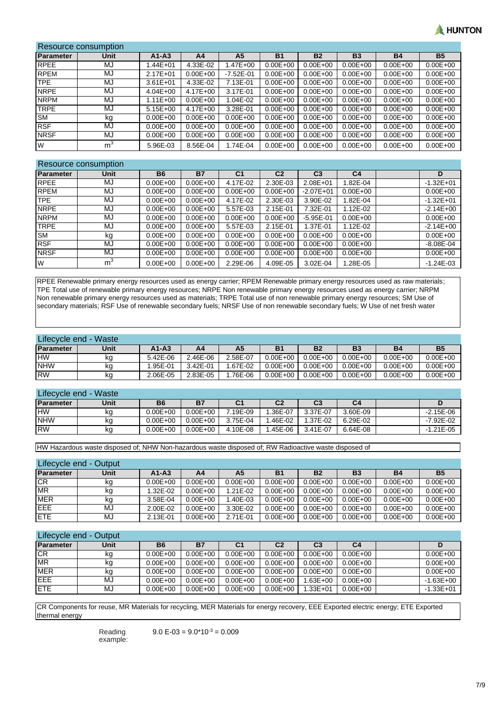# **NUNTON**

| Resource consumption |                |              |              |               |              |              |              |              |              |
|----------------------|----------------|--------------|--------------|---------------|--------------|--------------|--------------|--------------|--------------|
| <b>Parameter</b>     | Unit           | $A1 - A3$    | A4           | A5            | <b>B1</b>    | <b>B2</b>    | <b>B3</b>    | <b>B4</b>    | <b>B5</b>    |
| <b>RPEE</b>          | MJ             | $.44E + 01$  | 4.33E-02     | .47E+00       | $0.00E + 00$ | $0.00E + 00$ | $0.00E + 00$ | $0.00E + 00$ | $0.00E + 00$ |
| <b>RPEM</b>          | MJ             | $2.17E + 01$ | $0.00E + 00$ | $-7.52E - 01$ | $0.00E + 00$ | $0.00E + 00$ | $0.00E + 00$ | $0.00E + 00$ | $0.00E + 00$ |
| TPE                  | MJ             | $3.61E + 01$ | 4.33E-02     | 7.13E-01      | $0.00E + 00$ | $0.00E + 00$ | $0.00E + 00$ | $0.00E + 00$ | $0.00E + 00$ |
| <b>NRPE</b>          | MJ             | $4.04E + 00$ | $4.17E + 00$ | 3.17E-01      | $0.00E + 00$ | $0.00E + 00$ | $0.00E + 00$ | $0.00E + 00$ | $0.00E + 00$ |
| <b>NRPM</b>          | MJ             | $1.11E + 00$ | $0.00E + 00$ | 1.04E-02      | $0.00E + 00$ | $0.00E + 00$ | $0.00E + 00$ | $0.00E + 00$ | $0.00E + 00$ |
| <b>TRPE</b>          | MJ             | $5.15E+00$   | $4.17E + 00$ | 3.28E-01      | $0.00E + 00$ | $0.00E + 00$ | $0.00E + 00$ | $0.00E + 00$ | $0.00E + 00$ |
| <b>SM</b>            | kg             | $0.00E + 00$ | $0.00E + 00$ | $0.00E + 00$  | $0.00E + 00$ | $0.00E + 00$ | $0.00E + 00$ | $0.00E + 00$ | $0.00E + 00$ |
| <b>RSF</b>           | MJ             | $0.00E + 00$ | $0.00E + 00$ | $0.00E + 00$  | $0.00E + 00$ | $0.00E + 00$ | $0.00E + 00$ | $0.00E + 00$ | $0.00E + 00$ |
| <b>NRSF</b>          | MJ             | $0.00E + 00$ | $0.00E + 00$ | $0.00E + 00$  | $0.00E + 00$ | $0.00E + 00$ | $0.00E + 00$ | $0.00E + 00$ | $0.00E + 00$ |
| <b>W</b>             | m <sup>3</sup> | 5.96E-03     | 8.56E-04     | 1.74E-04      | $0.00E + 00$ | $0.00E + 00$ | $0.00E + 00$ | $0.00E + 00$ | $0.00E + 00$ |

### Resource consumption

| <b>Parameter</b> | <b>Unit</b>    | <b>B6</b>    | <b>B7</b>    | C <sub>1</sub> | C <sub>2</sub> | C <sub>3</sub> | C <sub>4</sub> |  | D             |  |
|------------------|----------------|--------------|--------------|----------------|----------------|----------------|----------------|--|---------------|--|
| <b>RPEE</b>      | MJ             | $0.00E + 00$ | $0.00E + 00$ | 4.17E-02       | 2.30E-03       | $2.08E + 01$   | 1.82E-04       |  | $-1.32E + 01$ |  |
| <b>RPEM</b>      | MJ             | $0.00E + 00$ | $0.00E + 00$ | $0.00E + 00$   | $0.00E + 00$   | $-2.07E + 01$  | $0.00E + 00$   |  | $0.00E + 00$  |  |
| <b>TPE</b>       | MJ             | $0.00E + 00$ | $0.00E + 00$ | 4.17E-02       | 2.30E-03       | 3.90E-02       | 1.82E-04       |  | $-1.32E + 01$ |  |
| <b>NRPE</b>      | MJ             | $0.00E + 00$ | $0.00E + 00$ | 5.57E-03       | 2.15E-01       | 7.32E-01       | 1.12E-02       |  | $-2.14E + 00$ |  |
| <b>NRPM</b>      | MJ             | $0.00E + 00$ | $0.00E + 00$ | $0.00E + 00$   | $0.00E + 00$   | $-5.95E - 01$  | $0.00E + 00$   |  | $0.00E + 00$  |  |
| <b>TRPE</b>      | MJ             | $0.00E + 00$ | $0.00E + 00$ | 5.57E-03       | 2.15E-01       | 1.37E-01       | 1.12E-02       |  | $-2.14E + 00$ |  |
| <b>SM</b>        | kg             | $0.00E + 00$ | $0.00E + 00$ | $0.00E + 00$   | $0.00E + 00$   | $0.00E + 00$   | $0.00E + 00$   |  | $0.00E + 00$  |  |
| <b>RSF</b>       | MJ             | $0.00E + 00$ | $0.00E + 00$ | $0.00E + 00$   | $0.00E + 00$   | $0.00E + 00$   | $0.00E + 00$   |  | $-8.08E - 04$ |  |
| <b>NRSF</b>      | MJ             | $0.00E + 00$ | $0.00E + 00$ | $0.00E + 00$   | $0.00E + 00$   | $0.00E + 00$   | $0.00E + 00$   |  | $0.00E + 00$  |  |
| W                | m <sup>3</sup> | $0.00E + 00$ | $0.00E + 00$ | 2.29E-06       | 4.09E-05       | 3.02E-04       | 1.28E-05       |  | $-1.24E - 03$ |  |

RPEE Renewable primary energy resources used as energy carrier; RPEM Renewable primary energy resources used as raw materials; TPE Total use of renewable primary energy resources; NRPE Non renewable primary energy resources used as energy carrier; NRPM Non renewable primary energy resources used as materials; TRPE Total use of non renewable primary energy resources; SM Use of secondary materials; RSF Use of renewable secondary fuels; NRSF Use of non renewable secondary fuels; W Use of net fresh water

| Lifecycle end - Waste |      |              |          |          |                |              |              |              |              |
|-----------------------|------|--------------|----------|----------|----------------|--------------|--------------|--------------|--------------|
| Parameter             | Unit | $A1 - A3$    | Α4       | Α5       | B <sub>1</sub> | <b>B2</b>    | <b>B3</b>    | <b>B4</b>    | <b>B5</b>    |
| <b>HW</b>             | ĸa   | $5.42E - 06$ | 2.46E-06 | 2.58E-07 | $0.00E + 00$   | $0.00E + 00$ | $0.00E + 00$ | $0.00E + 00$ | $0.00E + 00$ |
| <b>NHW</b>            | kg   | 1.95E-01     | 3.42E-01 | 1.67E-02 | $0.00E + 00$   | $0.00E + 00$ | $0.00E + 00$ | $0.00E + 00$ | $0.00E + 00$ |
| <b>RW</b>             | kg   | 2.06E-05     | 2.83E-05 | 1.76E-06 | $0.00E + 00$   | $0.00E + 00$ | $0.00E + 00$ | $0.00E + 00$ | $0.00E + 00$ |

#### Lifecycle end - Waste **Parameter Unit B6 B7 C1 C2 C3 C4 D** HW | kg | 0.00E+00 | 0.00E+00 | 7.19E-09 | 1.36E-07 | 3.37E-07 | 3.60E-09 | | -2.15E-06 NHW kg | 0.00E+00 | 0.00E+00 | 3.75E-04 | 1.46E-02 | 1.37E-02 | 6.29E-02 | | -7.92E-02 RW | kg | 0.00E+00 | 0.00E+00 | 4.10E-08 | 1.45E-06 | 3.41E-07 | 6.64E-08 | | -1.21E-05

HW Hazardous waste disposed of; NHW Non-hazardous waste disposed of; RW Radioactive waste disposed of

# Lifecycle end - Output

| Parameter  | <b>Unit</b> | A1-A3        | A4           | Α5           | B <sub>1</sub> | B <sub>2</sub> | <b>B3</b>    | <b>B4</b>    | <b>B5</b>    |
|------------|-------------|--------------|--------------|--------------|----------------|----------------|--------------|--------------|--------------|
| <b>ICR</b> | kg          | $0.00E + 00$ | $0.00E + 00$ | $0.00E + 00$ | $0.00E + 00$   | $0.00E + 00$   | $0.00E + 00$ | $0.00E + 00$ | $0.00E + 00$ |
| <b>MR</b>  | kq          | 1.32E-02     | $0.00E + 00$ | 1.21E-02     | $0.00E + 00$   | $0.00E + 00$   | $0.00E + 00$ | $0.00E + 00$ | $0.00E + 00$ |
| <b>MER</b> | kg          | 3.58E-04     | $0.00E + 00$ | $.40E - 03$  | $0.00E + 00$   | $0.00E + 00$   | $0.00E + 00$ | $0.00E + 00$ | $0.00E + 00$ |
| EEE        | MJ          | 2.00E-02     | $0.00E + 00$ | 3.30E-02     | $0.00E + 00$   | $0.00E + 00$   | $0.00E + 00$ | $0.00E + 00$ | $0.00E + 00$ |
| <b>ETE</b> | MJ          | 2.13E-01     | $0.00E + 00$ | 2.71E-01     | $0.00E + 00$   | $0.00E + 00$   | $0.00E + 00$ | $0.00E + 00$ | $0.00E + 00$ |

### Lifecycle end - Output

| $-100000000010$ | <b>-------</b> |              |              |                |                |                |                |               |
|-----------------|----------------|--------------|--------------|----------------|----------------|----------------|----------------|---------------|
| Parameter       | Unit           | <b>B6</b>    | <b>B7</b>    | C <sub>1</sub> | C <sub>2</sub> | C <sub>3</sub> | C <sub>4</sub> |               |
| CR              | kg             | $0.00E + 00$ | $0.00E + 00$ | $0.00E + 00$   | $0.00E + 00$   | $0.00E + 00$   | $0.00E + 00$   | $0.00E + 00$  |
| <b>MR</b>       | kg             | $0.00E + 00$ | $0.00E + 00$ | $0.00E + 00$   | $0.00E + 00$   | $0.00E + 00$   | $0.00E + 00$   | $0.00E + 00$  |
| <b>MER</b>      | kg             | $0.00E + 00$ | $0.00E + 00$ | $0.00E + 00$   | $0.00E + 00$   | $0.00E + 00$   | $0.00E + 00$   | $0.00E + 00$  |
| <b>EEE</b>      | MJ             | $0.00E + 00$ | $0.00E + 00$ | $0.00E + 00$   | $0.00E + 00$   | $1.63E + 00$   | $0.00E + 00$   | $-1.63E + 00$ |
| <b>IETE</b>     | MJ             | $0.00E + 00$ | $0.00E + 00$ | $0.00E + 00$   | $0.00E + 00$   | $1.33E + 01$   | $0.00E + 00$   | $-1.33E + 01$ |

CR Components for reuse, MR Materials for recycling, MER Materials for energy recovery, EEE Exported electric energy; ETE Exported thermal energy

> Reading example:

 $9.0 E - 03 = 9.0*10^{-3} = 0.009$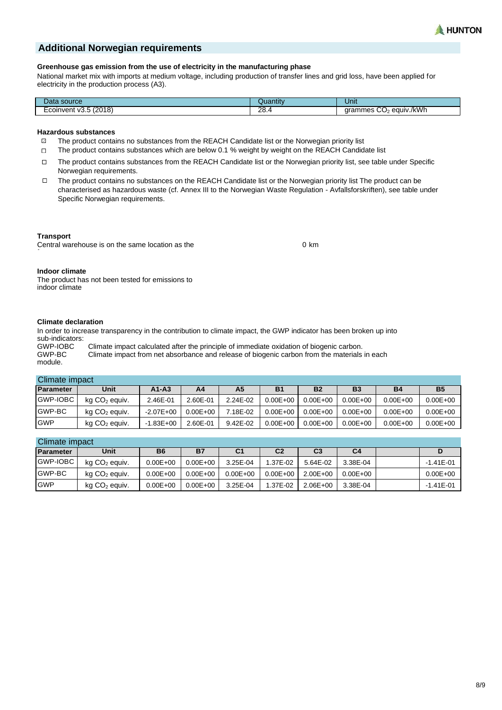

## **Additional Norwegian requirements**

#### **Greenhouse gas emission from the use of electricity in the manufacturing phase**

National market mix with imports at medium voltage, including production of transfer lines and grid loss, have been applied for electricity in the production process (A3).

| ⊃ata<br>source             | 110h<br>∡udhur    | Unit                                           |
|----------------------------|-------------------|------------------------------------------------|
| (2018)<br>coinvent<br>V3.D | ററ<br>0.ه∠<br>___ | equiv./kWh<br>$\sim$<br>grammes<br>$\sim$<br>U |

#### **Hazardous substances**

- $\Box$ The product contains no substances from the REACH Candidate list or the Norwegian priority list
- $\Box$ The product contains substances which are below 0.1 % weight by weight on the REACH Candidate list
- The product contains substances from the REACH Candidate list or the Norwegian priority list, see table under Specific  $\Box$ Norwegian requirements.
- The product contains no substances on the REACH Candidate list or the Norwegian priority list The product can be  $\Box$ characterised as hazardous waste (cf. Annex III to the Norwegian Waste Regulation - Avfallsforskriften), see table under Specific Norwegian requirements.

#### **Transport**

Central warehouse is on the same location as the

0 km

#### **Indoor climate**

The product has not been tested for emissions to indoor climate

#### **Climate declaration**

In order to increase transparency in the contribution to climate impact, the GWP indicator has been broken up into sub-indicators:<br>GWP-IOBC

GWP-IOBC Climate impact calculated after the principle of immediate oxidation of biogenic carbon.<br>GWP-BC Climate impact from net absorbance and release of biogenic carbon from the materials Climate impact from net absorbance and release of biogenic carbon from the materials in each module.

|               | Climate impact            |               |              |          |              |              |              |              |              |
|---------------|---------------------------|---------------|--------------|----------|--------------|--------------|--------------|--------------|--------------|
| Parameter     | <b>Unit</b>               | $A1 - A3$     | A4           | Α5       | <b>B1</b>    | <b>B2</b>    | <b>B3</b>    | <b>B4</b>    | <b>B5</b>    |
| GWP-IOBC      | kg CO <sub>2</sub> equiv. | 2.46E-01      | 2.60E-01     | 2.24E-02 | $0.00E + 00$ | $0.00E + 00$ | $0.00E + 00$ | $0.00E + 00$ | $0.00E + 00$ |
| <b>GWP-BC</b> | kg CO <sub>2</sub> equiv. | $-2.07E + 00$ | $0.00E + 00$ | 7.18E-02 | $0.00E + 00$ | $0.00E + 00$ | $0.00E + 00$ | $0.00E + 00$ | $0.00E + 00$ |
| <b>GWP</b>    | $kg CO2$ equiv.           | $-1.83E + 00$ | 2.60E-01     | 9.42E-02 | $0.00E + 00$ | $0.00E + 00$ | $0.00E + 00$ | $0.00E + 00$ | $0.00E + 00$ |

### Climate impact

| Parameter      | Unit            | <b>B6</b>    | <b>B7</b>    | C1           | C <sub>2</sub> | C <sub>3</sub> | C4           |  |               |
|----------------|-----------------|--------------|--------------|--------------|----------------|----------------|--------------|--|---------------|
| GWP-IOBC       | $kg CO2$ equiv. | $0.00E + 00$ | $0.00E + 00$ | 3.25E-04     | 1.37E-02       | 5.64E-02       | 3.38E-04     |  | $-1.41E - 01$ |
| <b>IGWP-BC</b> | $kg CO2$ equiv. | $0.00E + 00$ | $0.00E + 00$ | $0.00E + 00$ | $0.00E + 00$   | 2.00E+00       | $0.00E + 00$ |  | $0.00E + 00$  |
| <b>GWP</b>     | $kg CO2$ equiv. | $0.00E + 00$ | $0.00E + 00$ | 3.25E-04     | 1.37E-02       | $2.06E + 00$   | 3.38E-04     |  | $-1.41E - 01$ |